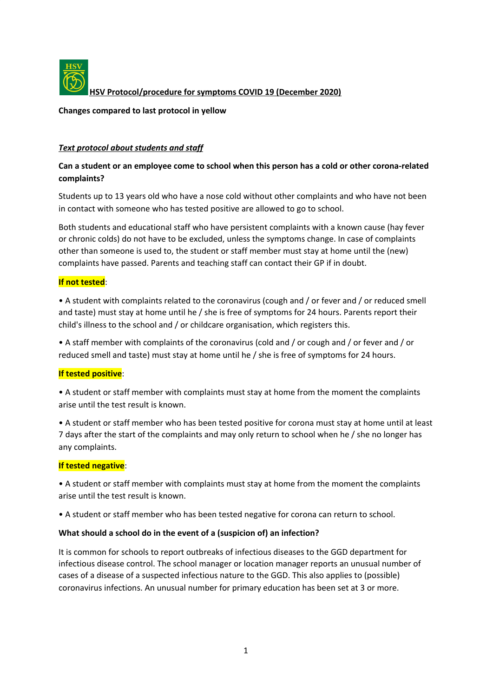

**HSV Protocol/procedure for symptoms COVID 19 (December 2020)**

**Changes compared to last protocol in yellow**

### *Text protocol about students and staff*

# **Can a student or an employee come to school when this person has a cold or other corona-related complaints?**

Students up to 13 years old who have a nose cold without other complaints and who have not been in contact with someone who has tested positive are allowed to go to school.

Both students and educational staff who have persistent complaints with a known cause (hay fever or chronic colds) do not have to be excluded, unless the symptoms change. In case of complaints other than someone is used to, the student or staff member must stay at home until the (new) complaints have passed. Parents and teaching staff can contact their GP if in doubt.

### **If not tested**:

• A student with complaints related to the coronavirus (cough and / or fever and / or reduced smell and taste) must stay at home until he / she is free of symptoms for 24 hours. Parents report their child's illness to the school and / or childcare organisation, which registers this.

• A staff member with complaints of the coronavirus (cold and / or cough and / or fever and / or reduced smell and taste) must stay at home until he / she is free of symptoms for 24 hours.

## **If tested positive**:

• A student or staff member with complaints must stay at home from the moment the complaints arise until the test result is known.

• A student or staff member who has been tested positive for corona must stay at home until at least 7 days after the start of the complaints and may only return to school when he / she no longer has any complaints.

#### **If tested negative**:

• A student or staff member with complaints must stay at home from the moment the complaints arise until the test result is known.

• A student or staff member who has been tested negative for corona can return to school.

#### **What should a school do in the event of a (suspicion of) an infection?**

It is common for schools to report outbreaks of infectious diseases to the GGD department for infectious disease control. The school manager or location manager reports an unusual number of cases of a disease of a suspected infectious nature to the GGD. This also applies to (possible) coronavirus infections. An unusual number for primary education has been set at 3 or more.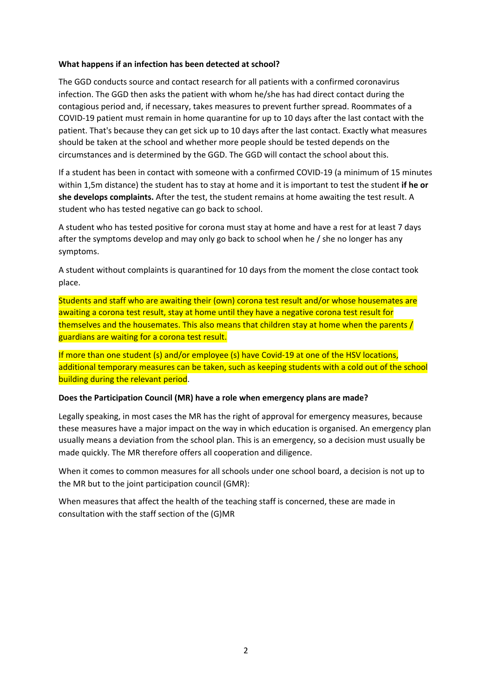### **What happens if an infection has been detected at school?**

The GGD conducts source and contact research for all patients with a confirmed coronavirus infection. The GGD then asks the patient with whom he/she has had direct contact during the contagious period and, if necessary, takes measures to prevent further spread. Roommates of a COVID-19 patient must remain in home quarantine for up to 10 days after the last contact with the patient. That's because they can get sick up to 10 days after the last contact. Exactly what measures should be taken at the school and whether more people should be tested depends on the circumstances and is determined by the GGD. The GGD will contact the school about this.

If a student has been in contact with someone with a confirmed COVID-19 (a minimum of 15 minutes within 1,5m distance) the student has to stay at home and it is important to test the student **if he or she develops complaints.** After the test, the student remains at home awaiting the test result. A student who has tested negative can go back to school.

A student who has tested positive for corona must stay at home and have a rest for at least 7 days after the symptoms develop and may only go back to school when he / she no longer has any symptoms.

A student without complaints is quarantined for 10 days from the moment the close contact took place.

Students and staff who are awaiting their (own) corona test result and/or whose housemates are awaiting a corona test result, stay at home until they have a negative corona test result for themselves and the housemates. This also means that children stay at home when the parents / guardians are waiting for a corona test result.

If more than one student (s) and/or employee (s) have Covid-19 at one of the HSV locations, additional temporary measures can be taken, such as keeping students with a cold out of the school building during the relevant period.

#### **Does the Participation Council (MR) have a role when emergency plans are made?**

Legally speaking, in most cases the MR has the right of approval for emergency measures, because these measures have a major impact on the way in which education is organised. An emergency plan usually means a deviation from the school plan. This is an emergency, so a decision must usually be made quickly. The MR therefore offers all cooperation and diligence.

When it comes to common measures for all schools under one school board, a decision is not up to the MR but to the joint participation council (GMR):

When measures that affect the health of the teaching staff is concerned, these are made in consultation with the staff section of the (G)MR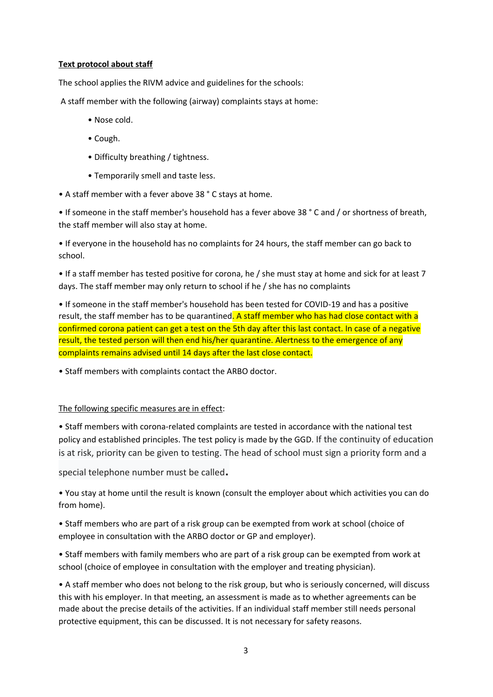## **Text protocol about staff**

The school applies the RIVM advice and guidelines for the schools:

A staff member with the following (airway) complaints stays at home:

- Nose cold.
- Cough.
- Difficulty breathing / tightness.
- Temporarily smell and taste less.
- A staff member with a fever above 38 ° C stays at home.

• If someone in the staff member's household has a fever above 38 ° C and / or shortness of breath, the staff member will also stay at home.

• If everyone in the household has no complaints for 24 hours, the staff member can go back to school.

• If a staff member has tested positive for corona, he / she must stay at home and sick for at least 7 days. The staff member may only return to school if he / she has no complaints

• If someone in the staff member's household has been tested for COVID-19 and has a positive result, the staff member has to be quarantined. A staff member who has had close contact with a confirmed corona patient can get a test on the 5th day after this last contact. In case of a negative result, the tested person will then end his/her quarantine. Alertness to the emergence of any complaints remains advised until 14 days after the last close contact.

• Staff members with complaints contact the ARBO doctor.

#### The following specific measures are in effect:

• Staff members with corona-related complaints are tested in accordance with the national test policy and established principles. The test policy is made by the GGD. If the continuity of education is at risk, priority can be given to testing. The head of school must sign a priority form and a

special telephone number must be called.

• You stay at home until the result is known (consult the employer about which activities you can do from home).

• Staff members who are part of a risk group can be exempted from work at school (choice of employee in consultation with the ARBO doctor or GP and employer).

• Staff members with family members who are part of a risk group can be exempted from work at school (choice of employee in consultation with the employer and treating physician).

• A staff member who does not belong to the risk group, but who is seriously concerned, will discuss this with his employer. In that meeting, an assessment is made as to whether agreements can be made about the precise details of the activities. If an individual staff member still needs personal protective equipment, this can be discussed. It is not necessary for safety reasons.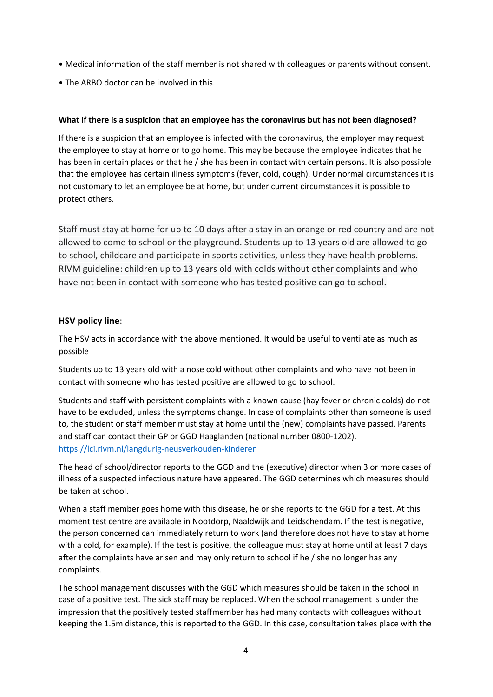- Medical information of the staff member is not shared with colleagues or parents without consent.
- The ARBO doctor can be involved in this.

# **What if there is a suspicion that an employee has the coronavirus but has not been diagnosed?**

If there is a suspicion that an employee is infected with the coronavirus, the employer may request the employee to stay at home or to go home. This may be because the employee indicates that he has been in certain places or that he / she has been in contact with certain persons. It is also possible that the employee has certain illness symptoms (fever, cold, cough). Under normal circumstances it is not customary to let an employee be at home, but under current circumstances it is possible to protect others.

Staff must stay at home for up to 10 days after a stay in an orange or red country and are not allowed to come to school or the playground. Students up to 13 years old are allowed to go to school, childcare and participate in sports activities, unless they have health problems. RIVM guideline: children up to 13 years old with colds without other complaints and who have not been in contact with someone who has tested positive can go to school.

# **HSV policy line**:

The HSV acts in accordance with the above mentioned. It would be useful to ventilate as much as possible

Students up to 13 years old with a nose cold without other complaints and who have not been in contact with someone who has tested positive are allowed to go to school.

Students and staff with persistent complaints with a known cause (hay fever or chronic colds) do not have to be excluded, unless the symptoms change. In case of complaints other than someone is used to, the student or staff member must stay at home until the (new) complaints have passed. Parents and staff can contact their GP or GGD Haaglanden (national number 0800-1202). <https://lci.rivm.nl/langdurig-neusverkouden-kinderen>

The head of school/director reports to the GGD and the (executive) director when 3 or more cases of illness of a suspected infectious nature have appeared. The GGD determines which measures should be taken at school.

When a staff member goes home with this disease, he or she reports to the GGD for a test. At this moment test centre are available in Nootdorp, Naaldwijk and Leidschendam. If the test is negative, the person concerned can immediately return to work (and therefore does not have to stay at home with a cold, for example). If the test is positive, the colleague must stay at home until at least 7 days after the complaints have arisen and may only return to school if he / she no longer has any complaints.

The school management discusses with the GGD which measures should be taken in the school in case of a positive test. The sick staff may be replaced. When the school management is under the impression that the positively tested staffmember has had many contacts with colleagues without keeping the 1.5m distance, this is reported to the GGD. In this case, consultation takes place with the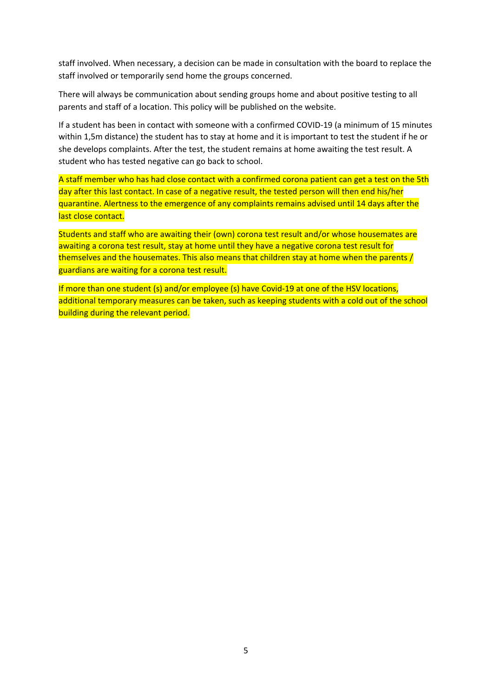staff involved. When necessary, a decision can be made in consultation with the board to replace the staff involved or temporarily send home the groups concerned.

There will always be communication about sending groups home and about positive testing to all parents and staff of a location. This policy will be published on the website.

If a student has been in contact with someone with a confirmed COVID-19 (a minimum of 15 minutes within 1,5m distance) the student has to stay at home and it is important to test the student if he or she develops complaints. After the test, the student remains at home awaiting the test result. A student who has tested negative can go back to school.

A staff member who has had close contact with a confirmed corona patient can get a test on the 5th day after this last contact. In case of a negative result, the tested person will then end his/her quarantine. Alertness to the emergence of any complaints remains advised until 14 days after the last close contact.

Students and staff who are awaiting their (own) corona test result and/or whose housemates are awaiting a corona test result, stay at home until they have a negative corona test result for themselves and the housemates. This also means that children stay at home when the parents / guardians are waiting for a corona test result.

If more than one student (s) and/or employee (s) have Covid-19 at one of the HSV locations, additional temporary measures can be taken, such as keeping students with a cold out of the school building during the relevant period.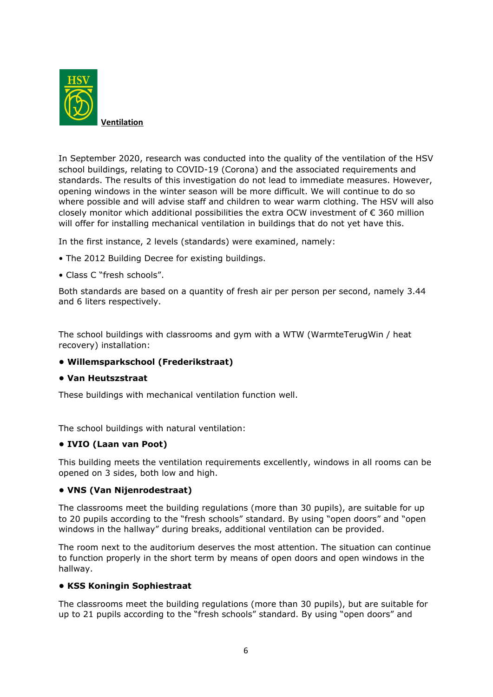

In September 2020, research was conducted into the quality of the ventilation of the HSV school buildings, relating to COVID-19 (Corona) and the associated requirements and standards. The results of this investigation do not lead to immediate measures. However, opening windows in the winter season will be more difficult. We will continue to do so where possible and will advise staff and children to wear warm clothing. The HSV will also closely monitor which additional possibilities the extra OCW investment of  $\epsilon$  360 million will offer for installing mechanical ventilation in buildings that do not yet have this.

In the first instance, 2 levels (standards) were examined, namely:

- The 2012 Building Decree for existing buildings.
- Class C "fresh schools".

Both standards are based on a quantity of fresh air per person per second, namely 3.44 and 6 liters respectively.

The school buildings with classrooms and gym with a WTW (WarmteTerugWin / heat recovery) installation:

## **• Willemsparkschool (Frederikstraat)**

#### **• Van Heutszstraat**

These buildings with mechanical ventilation function well.

The school buildings with natural ventilation:

## **• IVIO (Laan van Poot)**

This building meets the ventilation requirements excellently, windows in all rooms can be opened on 3 sides, both low and high.

## **• VNS (Van Nijenrodestraat)**

The classrooms meet the building regulations (more than 30 pupils), are suitable for up to 20 pupils according to the "fresh schools" standard. By using "open doors" and "open windows in the hallway" during breaks, additional ventilation can be provided.

The room next to the auditorium deserves the most attention. The situation can continue to function properly in the short term by means of open doors and open windows in the hallway.

## **• KSS Koningin Sophiestraat**

The classrooms meet the building regulations (more than 30 pupils), but are suitable for up to 21 pupils according to the "fresh schools" standard. By using "open doors" and